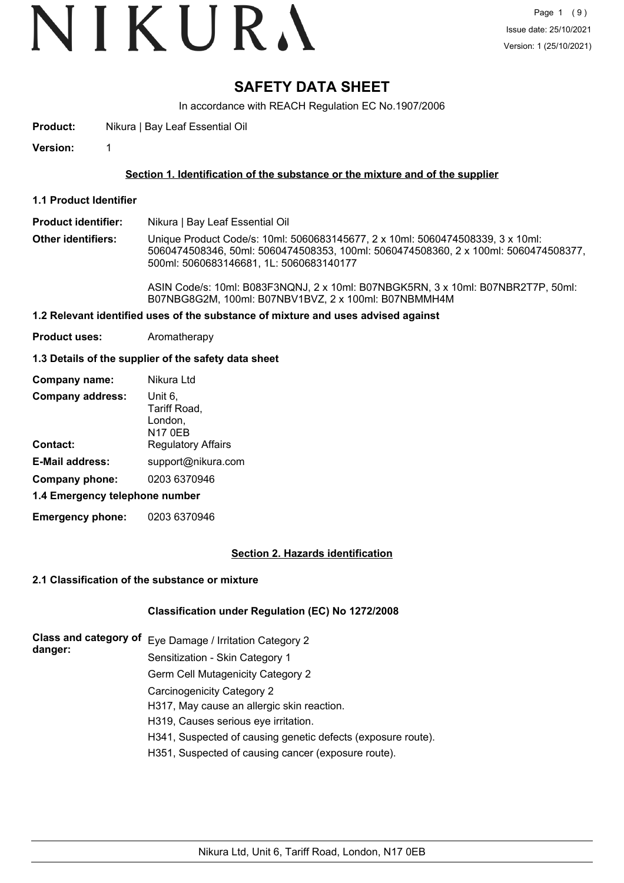# VIKURA

# **SAFETY DATA SHEET**

In accordance with REACH Regulation EC No.1907/2006

**Product:** Nikura | Bay Leaf Essential Oil

**Version:** 1

### **Section 1. Identification of the substance or the mixture and of the supplier**

- **1.1 Product Identifier**
- **Product identifier:** Nikura | Bay Leaf Essential Oil
- **Other identifiers:** Unique Product Code/s: 10ml: 5060683145677, 2 x 10ml: 5060474508339, 3 x 10ml: 5060474508346, 50ml: 5060474508353, 100ml: 5060474508360, 2 x 100ml: 5060474508377, 500ml: 5060683146681, 1L: 5060683140177

ASIN Code/s: 10ml: B083F3NQNJ, 2 x 10ml: B07NBGK5RN, 3 x 10ml: B07NBR2T7P, 50ml: B07NBG8G2M, 100ml: B07NBV1BVZ, 2 x 100ml: B07NBMMH4M

## **1.2 Relevant identified uses of the substance of mixture and uses advised against**

**Product uses:** Aromatherapy

#### **1.3 Details of the supplier of the safety data sheet**

| Nikura Ltd                                           |  |  |
|------------------------------------------------------|--|--|
| Unit 6,<br>Tariff Road,<br>London,<br><b>N17 0EB</b> |  |  |
| <b>Regulatory Affairs</b>                            |  |  |
| support@nikura.com                                   |  |  |
| 0203 6370946                                         |  |  |
| 1.4 Emergency telephone number                       |  |  |
|                                                      |  |  |

**Emergency phone:** 0203 6370946

#### **Section 2. Hazards identification**

#### **2.1 Classification of the substance or mixture**

#### **Classification under Regulation (EC) No 1272/2008**

**Class and category of** Eye Damage / Irritation Category 2 **danger:** Sensitization - Skin Category 1 Germ Cell Mutagenicity Category 2 Carcinogenicity Category 2 H317, May cause an allergic skin reaction. H319, Causes serious eye irritation. H341, Suspected of causing genetic defects (exposure route). H351, Suspected of causing cancer (exposure route).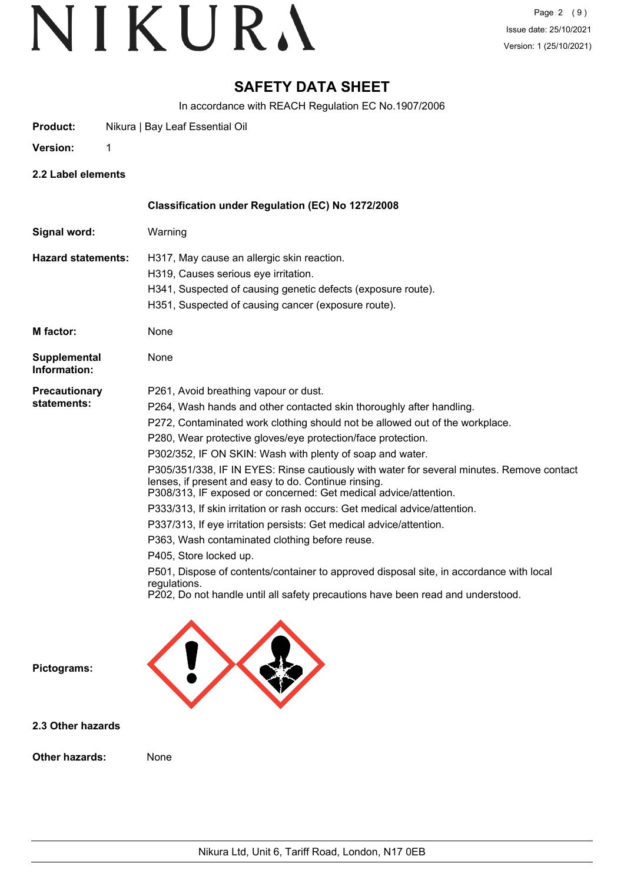# **SAFETY DATA SHEET**

In accordance with REACH Regulation EC No.1907/2006

**Product:** Nikura | Bay Leaf Essential Oil

**Version:** 1

**2.2 Label elements**

|                                     | Classification under Regulation (EC) No 1272/2008                                                                                                                                                                                                                                                                                                                                                                                                                                                                                                                                                                                                                                                                                                                                                                                                                                                                                                                                  |
|-------------------------------------|------------------------------------------------------------------------------------------------------------------------------------------------------------------------------------------------------------------------------------------------------------------------------------------------------------------------------------------------------------------------------------------------------------------------------------------------------------------------------------------------------------------------------------------------------------------------------------------------------------------------------------------------------------------------------------------------------------------------------------------------------------------------------------------------------------------------------------------------------------------------------------------------------------------------------------------------------------------------------------|
| Signal word:                        | Warning                                                                                                                                                                                                                                                                                                                                                                                                                                                                                                                                                                                                                                                                                                                                                                                                                                                                                                                                                                            |
| <b>Hazard statements:</b>           | H317, May cause an allergic skin reaction.<br>H319, Causes serious eye irritation.<br>H341, Suspected of causing genetic defects (exposure route).<br>H351, Suspected of causing cancer (exposure route).                                                                                                                                                                                                                                                                                                                                                                                                                                                                                                                                                                                                                                                                                                                                                                          |
| M factor:                           | None                                                                                                                                                                                                                                                                                                                                                                                                                                                                                                                                                                                                                                                                                                                                                                                                                                                                                                                                                                               |
| <b>Supplemental</b><br>Information: | None                                                                                                                                                                                                                                                                                                                                                                                                                                                                                                                                                                                                                                                                                                                                                                                                                                                                                                                                                                               |
| <b>Precautionary</b><br>statements: | P261, Avoid breathing vapour or dust.<br>P264, Wash hands and other contacted skin thoroughly after handling.<br>P272, Contaminated work clothing should not be allowed out of the workplace.<br>P280, Wear protective gloves/eye protection/face protection.<br>P302/352, IF ON SKIN: Wash with plenty of soap and water.<br>P305/351/338, IF IN EYES: Rinse cautiously with water for several minutes. Remove contact<br>lenses, if present and easy to do. Continue rinsing.<br>P308/313, IF exposed or concerned: Get medical advice/attention.<br>P333/313, If skin irritation or rash occurs: Get medical advice/attention.<br>P337/313, If eye irritation persists: Get medical advice/attention.<br>P363, Wash contaminated clothing before reuse.<br>P405, Store locked up.<br>P501, Dispose of contents/container to approved disposal site, in accordance with local<br>regulations.<br>P202, Do not handle until all safety precautions have been read and understood. |
| Pictograms:                         |                                                                                                                                                                                                                                                                                                                                                                                                                                                                                                                                                                                                                                                                                                                                                                                                                                                                                                                                                                                    |
| 2.3 Other hazards                   |                                                                                                                                                                                                                                                                                                                                                                                                                                                                                                                                                                                                                                                                                                                                                                                                                                                                                                                                                                                    |
| Other hazards:                      | None                                                                                                                                                                                                                                                                                                                                                                                                                                                                                                                                                                                                                                                                                                                                                                                                                                                                                                                                                                               |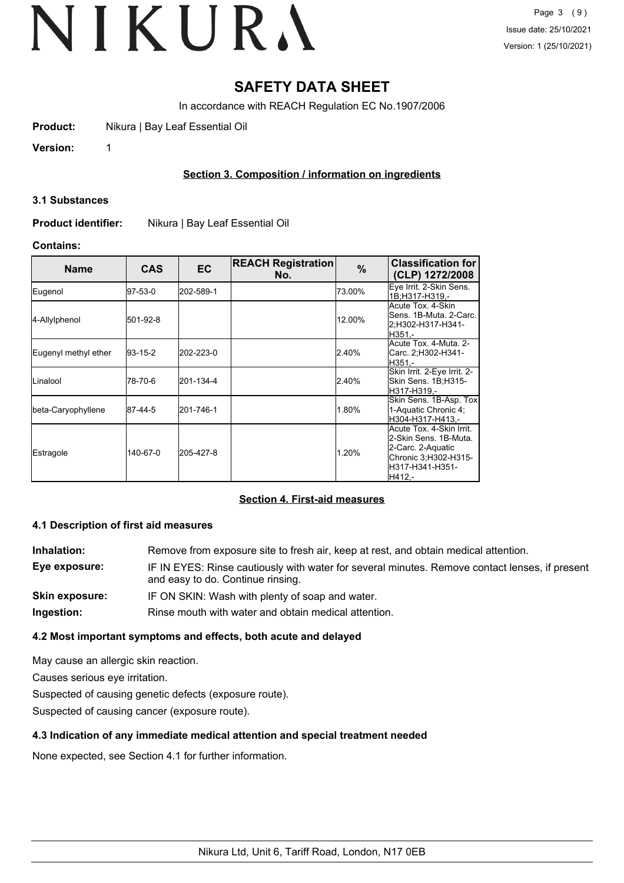# **SAFETY DATA SHEET**

In accordance with REACH Regulation EC No.1907/2006

**Product:** Nikura | Bay Leaf Essential Oil

**Version:** 1

# **Section 3. Composition / information on ingredients**

#### **3.1 Substances**

**Product identifier:** Nikura | Bay Leaf Essential Oil

## **Contains:**

| <b>Name</b>          | CAS         | ЕC        | <b>REACH Registration</b><br>No. | %      | <b>Classification for</b><br>(CLP) 1272/2008                                                                                 |
|----------------------|-------------|-----------|----------------------------------|--------|------------------------------------------------------------------------------------------------------------------------------|
| Eugenol              | 97-53-0     | 202-589-1 |                                  | 73.00% | Eye Irrit. 2-Skin Sens.<br>1B:H317-H319.-                                                                                    |
| 4-Allylphenol        | 501-92-8    |           |                                  | 12.00% | Acute Tox. 4-Skin<br>Sens. 1B-Muta. 2-Carc.<br>2:H302-H317-H341-<br>IH351.-                                                  |
| Eugenyl methyl ether | $ 93-15-2 $ | 202-223-0 |                                  | 2.40%  | Acute Tox. 4-Muta. 2-l<br>Carc. 2;H302-H341-<br>H351.-                                                                       |
| ILinalool            | 78-70-6     | 201-134-4 |                                  | 2.40%  | Skin Irrit. 2-Eye Irrit. 2-<br>Skin Sens. 1B;H315-<br>lH317-H319.-                                                           |
| beta-Caryophyllene   | 87-44-5     | 201-746-1 |                                  | 1.80%  | Skin Sens. 1B-Asp. Tox<br>1-Aquatic Chronic 4;<br>lH304-H317-H413.-                                                          |
| <b>Estragole</b>     | 140-67-0    | 205-427-8 |                                  | 1.20%  | Acute Tox. 4-Skin Irrit.<br>2-Skin Sens. 1B-Muta.<br>2-Carc. 2-Aquatic<br>Chronic 3;H302-H315-<br>lH317-H341-H351-<br>H412.- |

# **Section 4. First-aid measures**

### **4.1 Description of first aid measures**

| Inhalation:    | Remove from exposure site to fresh air, keep at rest, and obtain medical attention.                                                 |
|----------------|-------------------------------------------------------------------------------------------------------------------------------------|
| Eye exposure:  | IF IN EYES: Rinse cautiously with water for several minutes. Remove contact lenses, if present<br>and easy to do. Continue rinsing. |
| Skin exposure: | IF ON SKIN: Wash with plenty of soap and water.                                                                                     |
| Ingestion:     | Rinse mouth with water and obtain medical attention.                                                                                |

# **4.2 Most important symptoms and effects, both acute and delayed**

May cause an allergic skin reaction.

Causes serious eye irritation.

Suspected of causing genetic defects (exposure route).

Suspected of causing cancer (exposure route).

# **4.3 Indication of any immediate medical attention and special treatment needed**

None expected, see Section 4.1 for further information.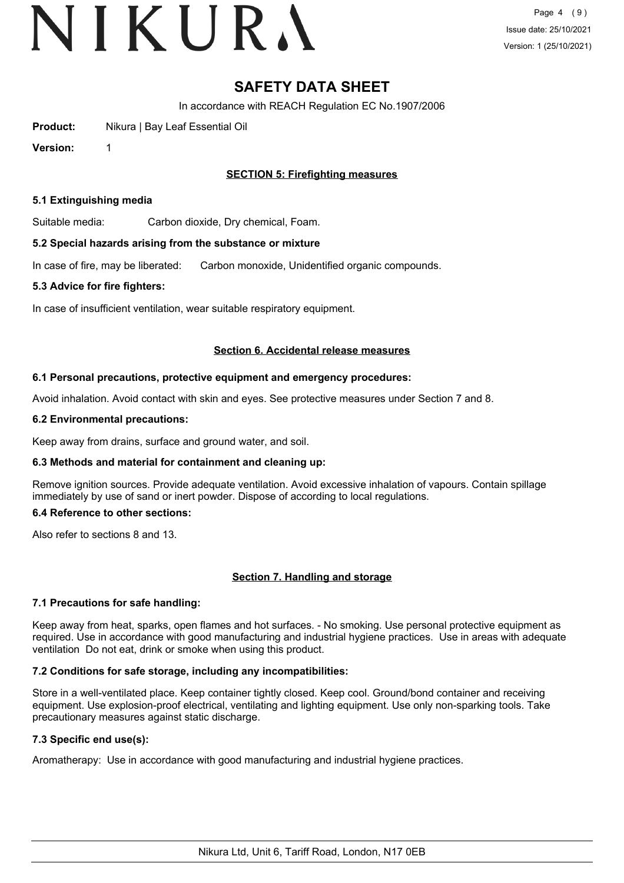# VIKURA

# **SAFETY DATA SHEET**

In accordance with REACH Regulation EC No.1907/2006

**Product:** Nikura | Bay Leaf Essential Oil

**Version:** 1

## **SECTION 5: Firefighting measures**

#### **5.1 Extinguishing media**

Suitable media: Carbon dioxide, Dry chemical, Foam.

#### **5.2 Special hazards arising from the substance or mixture**

In case of fire, may be liberated: Carbon monoxide, Unidentified organic compounds.

#### **5.3 Advice for fire fighters:**

In case of insufficient ventilation, wear suitable respiratory equipment.

#### **Section 6. Accidental release measures**

#### **6.1 Personal precautions, protective equipment and emergency procedures:**

Avoid inhalation. Avoid contact with skin and eyes. See protective measures under Section 7 and 8.

#### **6.2 Environmental precautions:**

Keep away from drains, surface and ground water, and soil.

#### **6.3 Methods and material for containment and cleaning up:**

Remove ignition sources. Provide adequate ventilation. Avoid excessive inhalation of vapours. Contain spillage immediately by use of sand or inert powder. Dispose of according to local regulations.

#### **6.4 Reference to other sections:**

Also refer to sections 8 and 13.

#### **Section 7. Handling and storage**

#### **7.1 Precautions for safe handling:**

Keep away from heat, sparks, open flames and hot surfaces. - No smoking. Use personal protective equipment as required. Use in accordance with good manufacturing and industrial hygiene practices. Use in areas with adequate ventilation Do not eat, drink or smoke when using this product.

#### **7.2 Conditions for safe storage, including any incompatibilities:**

Store in a well-ventilated place. Keep container tightly closed. Keep cool. Ground/bond container and receiving equipment. Use explosion-proof electrical, ventilating and lighting equipment. Use only non-sparking tools. Take precautionary measures against static discharge.

## **7.3 Specific end use(s):**

Aromatherapy: Use in accordance with good manufacturing and industrial hygiene practices.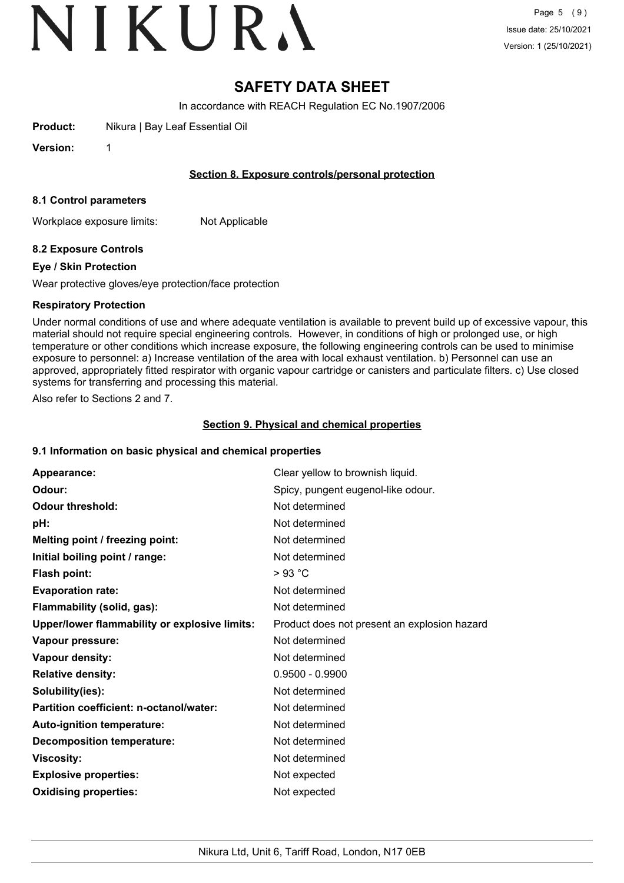# VIKURA

# **SAFETY DATA SHEET**

In accordance with REACH Regulation EC No.1907/2006

**Product:** Nikura | Bay Leaf Essential Oil

**Version:** 1

## **Section 8. Exposure controls/personal protection**

### **8.1 Control parameters**

Workplace exposure limits: Not Applicable

# **8.2 Exposure Controls**

## **Eye / Skin Protection**

Wear protective gloves/eye protection/face protection

## **Respiratory Protection**

Under normal conditions of use and where adequate ventilation is available to prevent build up of excessive vapour, this material should not require special engineering controls. However, in conditions of high or prolonged use, or high temperature or other conditions which increase exposure, the following engineering controls can be used to minimise exposure to personnel: a) Increase ventilation of the area with local exhaust ventilation. b) Personnel can use an approved, appropriately fitted respirator with organic vapour cartridge or canisters and particulate filters. c) Use closed systems for transferring and processing this material.

Also refer to Sections 2 and 7.

# **Section 9. Physical and chemical properties**

#### **9.1 Information on basic physical and chemical properties**

| Appearance:                                   | Clear yellow to brownish liquid.             |
|-----------------------------------------------|----------------------------------------------|
| Odour:                                        | Spicy, pungent eugenol-like odour.           |
| <b>Odour threshold:</b>                       | Not determined                               |
| pH:                                           | Not determined                               |
| Melting point / freezing point:               | Not determined                               |
| Initial boiling point / range:                | Not determined                               |
| Flash point:                                  | $>93$ °C                                     |
| <b>Evaporation rate:</b>                      | Not determined                               |
| Flammability (solid, gas):                    | Not determined                               |
| Upper/lower flammability or explosive limits: | Product does not present an explosion hazard |
| Vapour pressure:                              | Not determined                               |
| Vapour density:                               | Not determined                               |
| <b>Relative density:</b>                      | $0.9500 - 0.9900$                            |
| Solubility(ies):                              | Not determined                               |
| Partition coefficient: n-octanol/water:       | Not determined                               |
| Auto-ignition temperature:                    | Not determined                               |
| <b>Decomposition temperature:</b>             | Not determined                               |
| <b>Viscosity:</b>                             | Not determined                               |
| <b>Explosive properties:</b>                  | Not expected                                 |
| <b>Oxidising properties:</b>                  | Not expected                                 |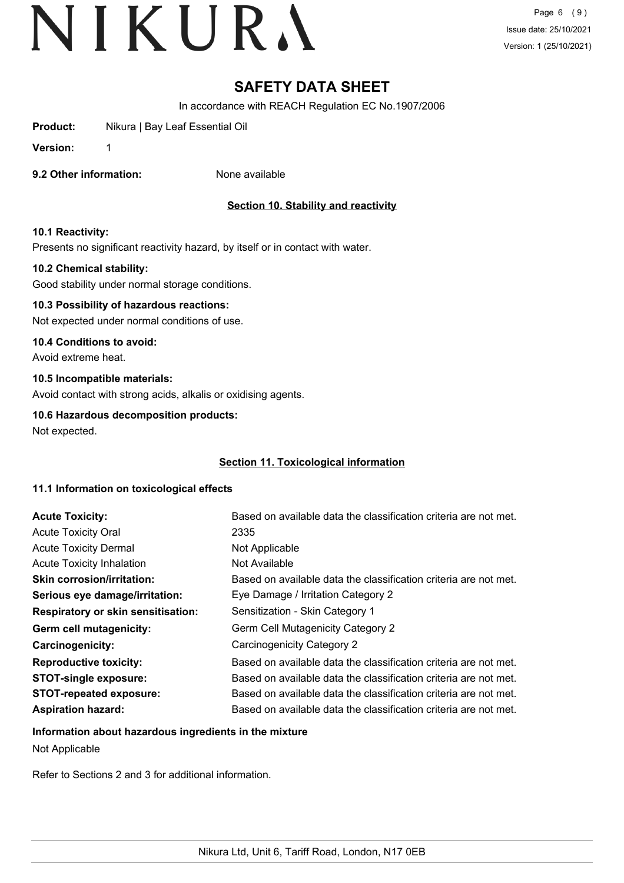# **SAFETY DATA SHEET**

In accordance with REACH Regulation EC No.1907/2006

**Product:** Nikura | Bay Leaf Essential Oil

**Version:** 1

**9.2 Other information:** None available

# **Section 10. Stability and reactivity**

## **10.1 Reactivity:**

Presents no significant reactivity hazard, by itself or in contact with water.

## **10.2 Chemical stability:**

Good stability under normal storage conditions.

# **10.3 Possibility of hazardous reactions:**

Not expected under normal conditions of use.

### **10.4 Conditions to avoid:**

Avoid extreme heat.

## **10.5 Incompatible materials:**

Avoid contact with strong acids, alkalis or oxidising agents.

#### **10.6 Hazardous decomposition products:**

Not expected.

# **Section 11. Toxicological information**

#### **11.1 Information on toxicological effects**

| <b>Acute Toxicity:</b>                    | Based on available data the classification criteria are not met. |
|-------------------------------------------|------------------------------------------------------------------|
| <b>Acute Toxicity Oral</b>                | 2335                                                             |
| <b>Acute Toxicity Dermal</b>              | Not Applicable                                                   |
| <b>Acute Toxicity Inhalation</b>          | Not Available                                                    |
| <b>Skin corrosion/irritation:</b>         | Based on available data the classification criteria are not met. |
| Serious eye damage/irritation:            | Eye Damage / Irritation Category 2                               |
| <b>Respiratory or skin sensitisation:</b> | Sensitization - Skin Category 1                                  |
| Germ cell mutagenicity:                   | Germ Cell Mutagenicity Category 2                                |
| Carcinogenicity:                          | Carcinogenicity Category 2                                       |
| <b>Reproductive toxicity:</b>             | Based on available data the classification criteria are not met. |
| <b>STOT-single exposure:</b>              | Based on available data the classification criteria are not met. |
| <b>STOT-repeated exposure:</b>            | Based on available data the classification criteria are not met. |
| <b>Aspiration hazard:</b>                 | Based on available data the classification criteria are not met. |

# **Information about hazardous ingredients in the mixture**

Not Applicable

Refer to Sections 2 and 3 for additional information.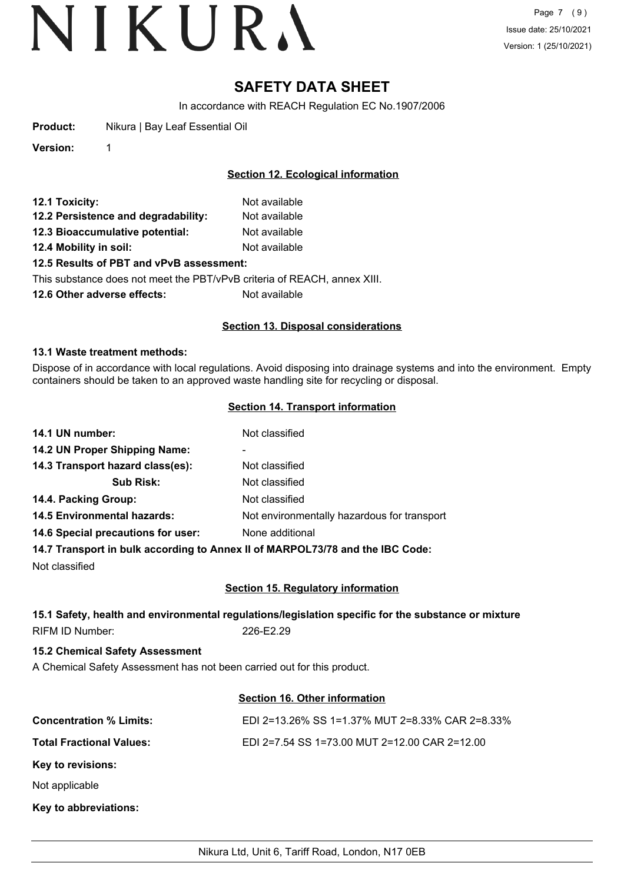# **SAFETY DATA SHEET**

In accordance with REACH Regulation EC No.1907/2006

**Product:** Nikura | Bay Leaf Essential Oil

**Version:** 1

## **Section 12. Ecological information**

| 12.1 Toxicity:                           | Not available |  |
|------------------------------------------|---------------|--|
| 12.2 Persistence and degradability:      | Not available |  |
| 12.3 Bioaccumulative potential:          | Not available |  |
| 12.4 Mobility in soil:                   | Not available |  |
| 12.5 Results of PBT and vPvB assessment: |               |  |

This substance does not meet the PBT/vPvB criteria of REACH, annex XIII.

**12.6 Other adverse effects:** Not available

#### **Section 13. Disposal considerations**

#### **13.1 Waste treatment methods:**

Dispose of in accordance with local regulations. Avoid disposing into drainage systems and into the environment. Empty containers should be taken to an approved waste handling site for recycling or disposal.

## **Section 14. Transport information**

| 14.1 UN number:                    | Not classified                              |
|------------------------------------|---------------------------------------------|
| 14.2 UN Proper Shipping Name:      | -                                           |
| 14.3 Transport hazard class(es):   | Not classified                              |
| <b>Sub Risk:</b>                   | Not classified                              |
| 14.4. Packing Group:               | Not classified                              |
| <b>14.5 Environmental hazards:</b> | Not environmentally hazardous for transport |
| 14.6 Special precautions for user: | None additional                             |
|                                    |                                             |

**14.7 Transport in bulk according to Annex II of MARPOL73/78 and the IBC Code:**

Not classified

#### **Section 15. Regulatory information**

# **15.1 Safety, health and environmental regulations/legislation specific for the substance or mixture** RIFM ID Number: 226-E2.29

**15.2 Chemical Safety Assessment**

A Chemical Safety Assessment has not been carried out for this product.

# **Section 16. Other information**

| <b>Concentration % Limits:</b>  | EDI 2=13.26% SS 1=1.37% MUT 2=8.33% CAR 2=8.33% |
|---------------------------------|-------------------------------------------------|
| <b>Total Fractional Values:</b> | EDI 2=7.54 SS 1=73.00 MUT 2=12.00 CAR 2=12.00   |
| Key to revisions:               |                                                 |
| Not applicable                  |                                                 |
| Key to abbreviations:           |                                                 |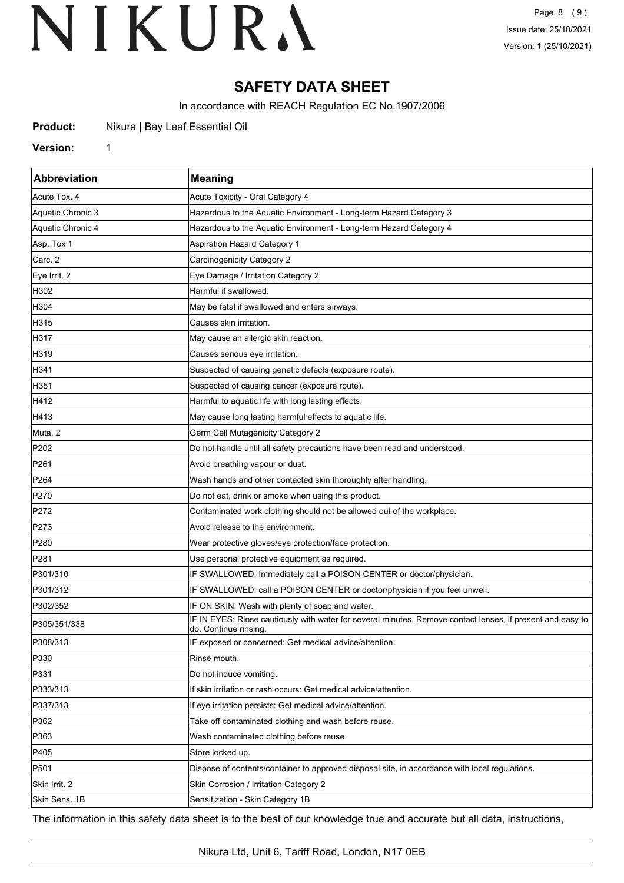# **SAFETY DATA SHEET**

In accordance with REACH Regulation EC No.1907/2006

**Product:** Nikura | Bay Leaf Essential Oil

#### **Version:** 1

| <b>Abbreviation</b> | <b>Meaning</b>                                                                                                                      |
|---------------------|-------------------------------------------------------------------------------------------------------------------------------------|
| Acute Tox. 4        | Acute Toxicity - Oral Category 4                                                                                                    |
| Aquatic Chronic 3   | Hazardous to the Aquatic Environment - Long-term Hazard Category 3                                                                  |
| Aquatic Chronic 4   | Hazardous to the Aquatic Environment - Long-term Hazard Category 4                                                                  |
| Asp. Tox 1          | Aspiration Hazard Category 1                                                                                                        |
| Carc. 2             | Carcinogenicity Category 2                                                                                                          |
| Eye Irrit. 2        | Eye Damage / Irritation Category 2                                                                                                  |
| H302                | Harmful if swallowed.                                                                                                               |
| H304                | May be fatal if swallowed and enters airways.                                                                                       |
| H315                | Causes skin irritation.                                                                                                             |
| H317                | May cause an allergic skin reaction.                                                                                                |
| H319                | Causes serious eye irritation.                                                                                                      |
| H341                | Suspected of causing genetic defects (exposure route).                                                                              |
| H351                | Suspected of causing cancer (exposure route).                                                                                       |
| H412                | Harmful to aquatic life with long lasting effects.                                                                                  |
| H413                | May cause long lasting harmful effects to aquatic life.                                                                             |
| Muta. 2             | <b>Germ Cell Mutagenicity Category 2</b>                                                                                            |
| P202                | Do not handle until all safety precautions have been read and understood.                                                           |
| P <sub>261</sub>    | Avoid breathing vapour or dust.                                                                                                     |
| P <sub>264</sub>    | Wash hands and other contacted skin thoroughly after handling.                                                                      |
| P270                | Do not eat, drink or smoke when using this product.                                                                                 |
| P272                | Contaminated work clothing should not be allowed out of the workplace.                                                              |
| P273                | Avoid release to the environment.                                                                                                   |
| P280                | Wear protective gloves/eye protection/face protection.                                                                              |
| P281                | Use personal protective equipment as required.                                                                                      |
| P301/310            | IF SWALLOWED: Immediately call a POISON CENTER or doctor/physician.                                                                 |
| P301/312            | IF SWALLOWED: call a POISON CENTER or doctor/physician if you feel unwell.                                                          |
| P302/352            | IF ON SKIN: Wash with plenty of soap and water.                                                                                     |
| P305/351/338        | IF IN EYES: Rinse cautiously with water for several minutes. Remove contact lenses, if present and easy to<br>do. Continue rinsing. |
| P308/313            | IF exposed or concerned: Get medical advice/attention.                                                                              |
| P330                | Rinse mouth.                                                                                                                        |
| P331                | Do not induce vomiting.                                                                                                             |
| P333/313            | If skin irritation or rash occurs: Get medical advice/attention.                                                                    |
| P337/313            | If eye irritation persists: Get medical advice/attention.                                                                           |
| P362                | Take off contaminated clothing and wash before reuse.                                                                               |
| P363                | Wash contaminated clothing before reuse.                                                                                            |
| P405                | Store locked up.                                                                                                                    |
| P501                | Dispose of contents/container to approved disposal site, in accordance with local regulations.                                      |
| Skin Irrit. 2       | Skin Corrosion / Irritation Category 2                                                                                              |
| Skin Sens. 1B       | Sensitization - Skin Category 1B                                                                                                    |

The information in this safety data sheet is to the best of our knowledge true and accurate but all data, instructions,